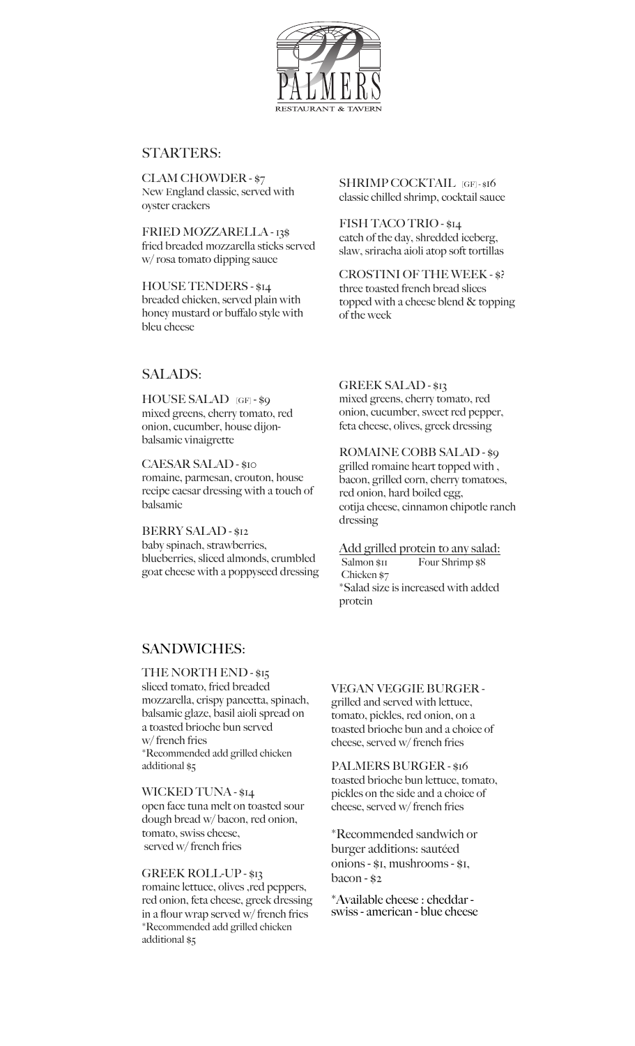

# STARTERS:

CLAM CHOWDER - \$7 New England classic, served with oyster crackers

FRIED MOZZARELLA - 13\$ fried breaded mozzarella sticks served w/ rosa tomato dipping sauce

HOUSE TENDERS - \$14 breaded chicken, served plain with honey mustard or buffalo style with bleu cheese

SHRIMP COCKTAIL [GF] - \$16 classic chilled shrimp, cocktail sauce

FISH TACO TRIO - \$14 catch of the day, shredded iceberg, slaw, sriracha aioli atop soft tortillas

CROSTINI OF THE WEEK - \$? three toasted french bread slices topped with a cheese blend & topping of the week

# SALADS:

HOUSE SALAD [GF] - \$9 mixed greens, cherry tomato, red onion, cucumber, house dijonbalsamic vinaigrette

CAESAR SALAD - \$10 romaine, parmesan, crouton, house recipe caesar dressing with a touch of balsamic

BERRY SALAD - \$12 baby spinach, strawberries, blueberries, sliced almonds, crumbled goat cheese with a poppyseed dressing GREEK SALAD - \$13 mixed greens, cherry tomato, red

onion, cucumber, sweet red pepper, feta cheese, olives, greek dressing

ROMAINE COBB SALAD - \$9 grilled romaine heart topped with , bacon, grilled corn, cherry tomatoes, red onion, hard boiled egg, cotija cheese, cinnamon chipotle ranch dressing

Add grilled protein to any salad: Salmon \$11 Four Shrimp \$8 Chicken \$7 \*Salad size is increased with added protein

## SANDWICHES:

THE NORTH END - \$15 sliced tomato, fried breaded mozzarella, crispy pancetta, spinach, balsamic glaze, basil aioli spread on a toasted brioche bun served w/ french fries \*Recommended add grilled chicken additional \$5

WICKED TUNA - \$14 open face tuna melt on toasted sour dough bread w/ bacon, red onion, tomato, swiss cheese, served w/ french fries

GREEK ROLL-UP - \$13 romaine lettuce, olives ,red peppers,

red onion, feta cheese, greek dressing in a flour wrap served w/ french fries \*Recommended add grilled chicken additional \$5

### VEGAN VEGGIE BURGER -

grilled and served with lettuce, tomato, pickles, red onion, on a toasted brioche bun and a choice of cheese, served w/ french fries

PALMERS BURGER - \$16 toasted brioche bun lettuce, tomato, pickles on the side and a choice of cheese, served w/ french fries

\*Recommended sandwich or burger additions: sautéed onions - \$1, mushrooms - \$1, bacon - \$2

\*Available cheese : cheddar swiss - american - blue cheese